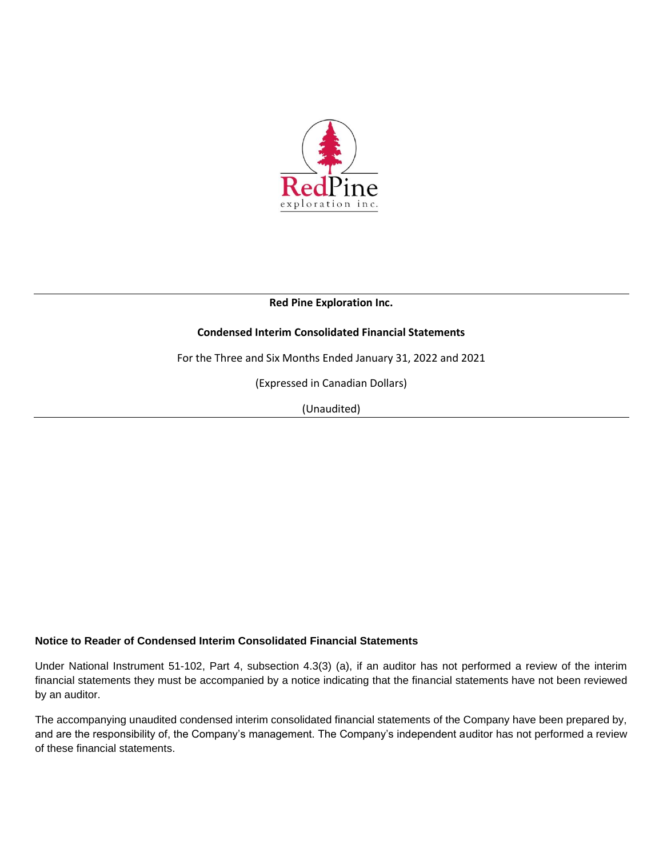

**Red Pine Exploration Inc.**

# **Condensed Interim Consolidated Financial Statements**

For the Three and Six Months Ended January 31, 2022 and 2021

(Expressed in Canadian Dollars)

(Unaudited)

### **Notice to Reader of Condensed Interim Consolidated Financial Statements**

Under National Instrument 51-102, Part 4, subsection 4.3(3) (a), if an auditor has not performed a review of the interim financial statements they must be accompanied by a notice indicating that the financial statements have not been reviewed by an auditor.

The accompanying unaudited condensed interim consolidated financial statements of the Company have been prepared by, and are the responsibility of, the Company's management. The Company's independent auditor has not performed a review of these financial statements.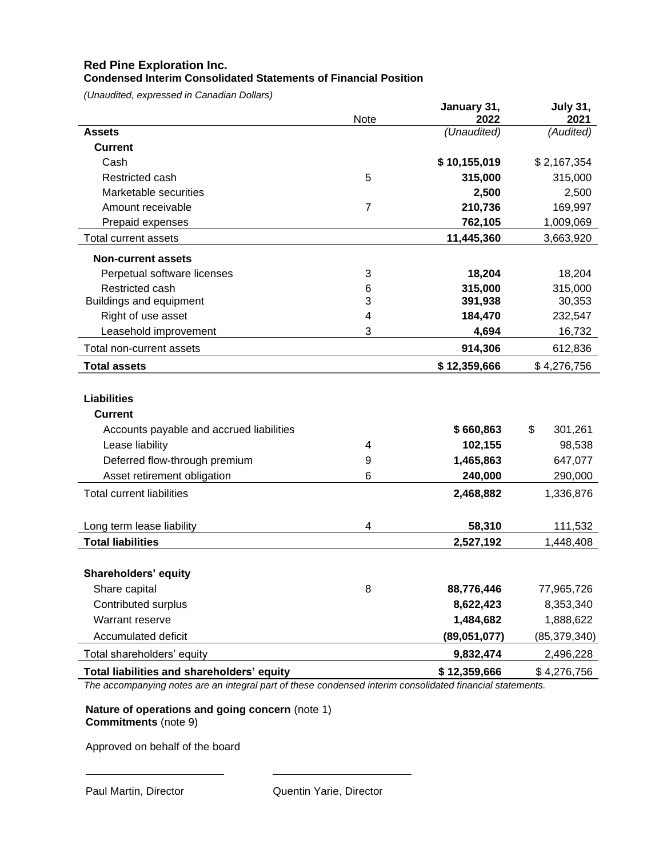#### **Red Pine Exploration Inc. Condensed Interim Consolidated Statements of Financial Position**

*(Unaudited, expressed in Canadian Dollars)*

|                                            | Note           | January 31,<br>2022 | <b>July 31,</b><br>2021 |
|--------------------------------------------|----------------|---------------------|-------------------------|
| <b>Assets</b>                              |                | (Unaudited)         | (Audited)               |
| <b>Current</b>                             |                |                     |                         |
| Cash                                       |                | \$10,155,019        | \$2,167,354             |
| Restricted cash                            | 5              | 315,000             | 315,000                 |
| Marketable securities                      |                | 2,500               | 2,500                   |
| Amount receivable                          | $\overline{7}$ | 210,736             | 169,997                 |
| Prepaid expenses                           |                | 762,105             | 1,009,069               |
| Total current assets                       |                | 11,445,360          | 3,663,920               |
| <b>Non-current assets</b>                  |                |                     |                         |
| Perpetual software licenses                | 3              | 18,204              | 18,204                  |
| Restricted cash                            | 6              | 315,000             | 315,000                 |
| <b>Buildings and equipment</b>             | 3              | 391,938             | 30,353                  |
| Right of use asset                         | 4              | 184,470             | 232,547                 |
| Leasehold improvement                      | 3              | 4,694               | 16,732                  |
| Total non-current assets                   |                | 914,306             | 612,836                 |
| <b>Total assets</b>                        |                | \$12,359,666        | \$4,276,756             |
| <b>Liabilities</b><br><b>Current</b>       |                |                     |                         |
| Accounts payable and accrued liabilities   |                | \$660,863           | \$<br>301,261           |
| Lease liability                            | 4              | 102,155             | 98,538                  |
| Deferred flow-through premium              | 9              | 1,465,863           | 647,077                 |
| Asset retirement obligation                | 6              | 240,000             | 290,000                 |
| <b>Total current liabilities</b>           |                | 2,468,882           | 1,336,876               |
| Long term lease liability                  | 4              | 58,310              | 111,532                 |
| <b>Total liabilities</b>                   |                | 2,527,192           | 1,448,408               |
| <b>Shareholders' equity</b>                |                |                     |                         |
| Share capital                              | 8              | 88,776,446          | 77,965,726              |
| Contributed surplus                        |                | 8,622,423           | 8,353,340               |
| Warrant reserve                            |                | 1,484,682           | 1,888,622               |
| Accumulated deficit                        |                | (89,051,077)        | (85, 379, 340)          |
| Total shareholders' equity                 |                | 9,832,474           | 2,496,228               |
| Total liabilities and shareholders' equity |                | \$12,359,666        | \$4,276,756             |

*The accompanying notes are an integral part of these condensed interim consolidated financial statements.*

**Nature of operations and going concern** (note 1) **Commitments** (note 9)

Approved on behalf of the board

 $\overline{a}$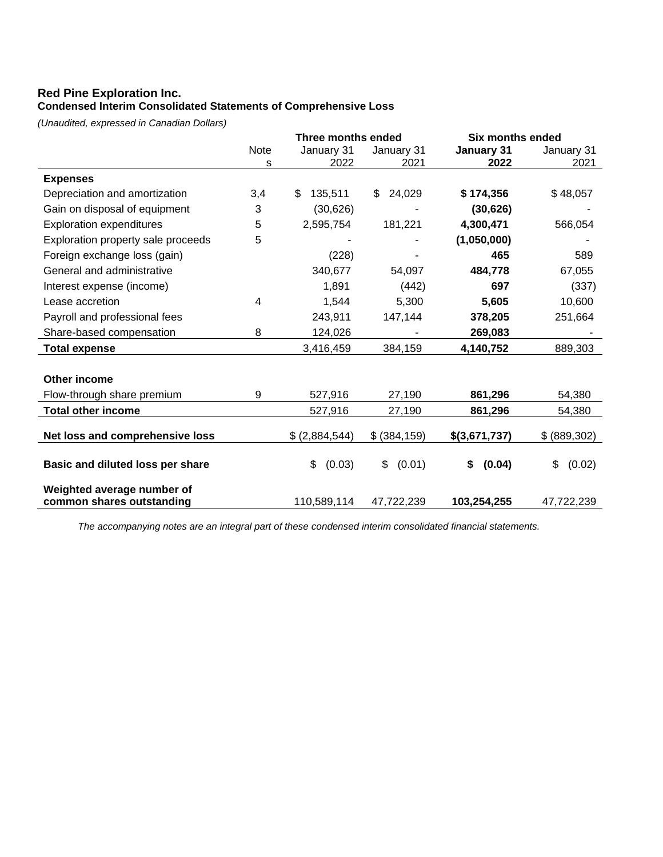# **Red Pine Exploration Inc. Condensed Interim Consolidated Statements of Comprehensive Loss**

*(Unaudited, expressed in Canadian Dollars)*

|                                    | <b>Three months ended</b> |                | <b>Six months ended</b> |               |              |
|------------------------------------|---------------------------|----------------|-------------------------|---------------|--------------|
|                                    | Note                      | January 31     | January 31              | January 31    | January 31   |
|                                    | s                         | 2022           | 2021                    | 2022          | 2021         |
| <b>Expenses</b>                    |                           |                |                         |               |              |
| Depreciation and amortization      | 3,4                       | 135,511<br>\$  | 24,029<br>\$            | \$174,356     | \$48,057     |
| Gain on disposal of equipment      | 3                         | (30,626)       |                         | (30, 626)     |              |
| <b>Exploration expenditures</b>    | 5                         | 2,595,754      | 181,221                 | 4,300,471     | 566,054      |
| Exploration property sale proceeds | 5                         |                |                         | (1,050,000)   |              |
| Foreign exchange loss (gain)       |                           | (228)          |                         | 465           | 589          |
| General and administrative         |                           | 340,677        | 54,097                  | 484,778       | 67,055       |
| Interest expense (income)          |                           | 1,891          | (442)                   | 697           | (337)        |
| Lease accretion                    | 4                         | 1,544          | 5,300                   | 5,605         | 10,600       |
| Payroll and professional fees      |                           | 243,911        | 147,144                 | 378,205       | 251,664      |
| Share-based compensation           | 8                         | 124,026        |                         | 269,083       |              |
| <b>Total expense</b>               |                           | 3,416,459      | 384,159                 | 4,140,752     | 889,303      |
|                                    |                           |                |                         |               |              |
| Other income                       |                           |                |                         |               |              |
| Flow-through share premium         | 9                         | 527,916        | 27,190                  | 861,296       | 54,380       |
| <b>Total other income</b>          |                           | 527,916        | 27,190                  | 861,296       | 54,380       |
|                                    |                           |                |                         |               |              |
| Net loss and comprehensive loss    |                           | \$ (2,884,544) | \$ (384, 159)           | \$(3,671,737) | \$(889,302)  |
| Basic and diluted loss per share   |                           | \$             | \$                      | (0.04)<br>\$  | \$<br>(0.02) |
|                                    |                           | (0.03)         | (0.01)                  |               |              |
| Weighted average number of         |                           |                |                         |               |              |
| common shares outstanding          |                           | 110,589,114    | 47,722,239              | 103,254,255   | 47,722,239   |

*The accompanying notes are an integral part of these condensed interim consolidated financial statements.*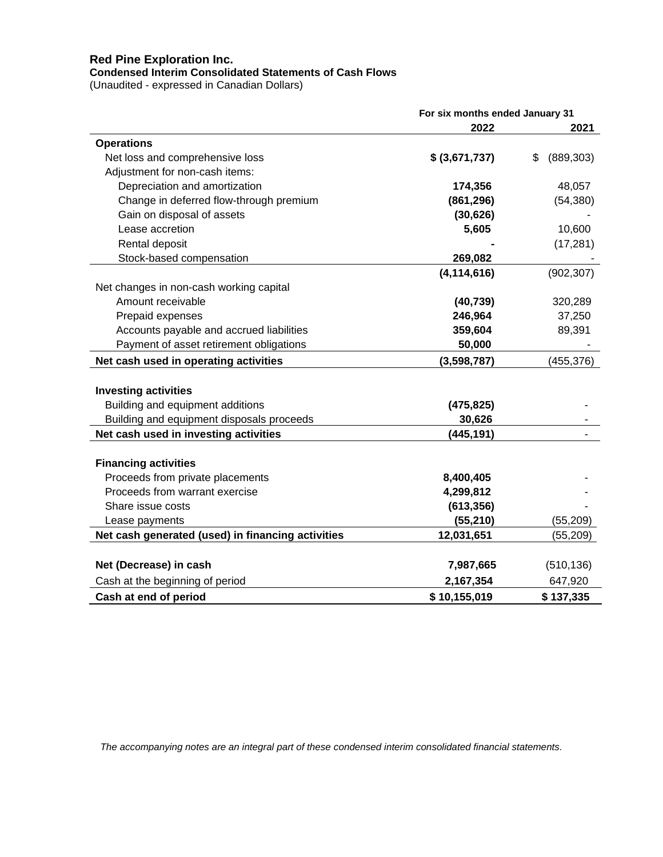# **Red Pine Exploration Inc.**

#### **Condensed Interim Consolidated Statements of Cash Flows**

(Unaudited - expressed in Canadian Dollars)

|                                                   | For six months ended January 31 |                  |  |
|---------------------------------------------------|---------------------------------|------------------|--|
|                                                   | 2022                            | 2021             |  |
| <b>Operations</b>                                 |                                 |                  |  |
| Net loss and comprehensive loss                   | \$ (3,671,737)                  | (889, 303)<br>\$ |  |
| Adjustment for non-cash items:                    |                                 |                  |  |
| Depreciation and amortization                     | 174,356                         | 48,057           |  |
| Change in deferred flow-through premium           | (861, 296)                      | (54, 380)        |  |
| Gain on disposal of assets                        | (30, 626)                       |                  |  |
| Lease accretion                                   | 5,605                           | 10,600           |  |
| Rental deposit                                    |                                 | (17, 281)        |  |
| Stock-based compensation                          | 269,082                         |                  |  |
|                                                   | (4, 114, 616)                   | (902, 307)       |  |
| Net changes in non-cash working capital           |                                 |                  |  |
| Amount receivable                                 | (40, 739)                       | 320,289          |  |
| Prepaid expenses                                  | 246,964                         | 37,250           |  |
| Accounts payable and accrued liabilities          | 359,604                         | 89,391           |  |
| Payment of asset retirement obligations           | 50,000                          |                  |  |
| Net cash used in operating activities             | (3,598,787)                     | (455, 376)       |  |
| <b>Investing activities</b>                       |                                 |                  |  |
| Building and equipment additions                  | (475, 825)                      |                  |  |
| Building and equipment disposals proceeds         | 30,626                          |                  |  |
| Net cash used in investing activities             | (445,191)                       |                  |  |
| <b>Financing activities</b>                       |                                 |                  |  |
| Proceeds from private placements                  | 8,400,405                       |                  |  |
| Proceeds from warrant exercise                    | 4,299,812                       |                  |  |
| Share issue costs                                 | (613, 356)                      |                  |  |
| Lease payments                                    | (55, 210)                       | (55, 209)        |  |
| Net cash generated (used) in financing activities | 12,031,651                      | (55, 209)        |  |
|                                                   |                                 |                  |  |
| Net (Decrease) in cash                            | 7,987,665                       | (510, 136)       |  |
| Cash at the beginning of period                   | 2,167,354                       | 647,920          |  |
| Cash at end of period                             | \$10,155,019                    | \$137,335        |  |

*The accompanying notes are an integral part of these condensed interim consolidated financial statements.*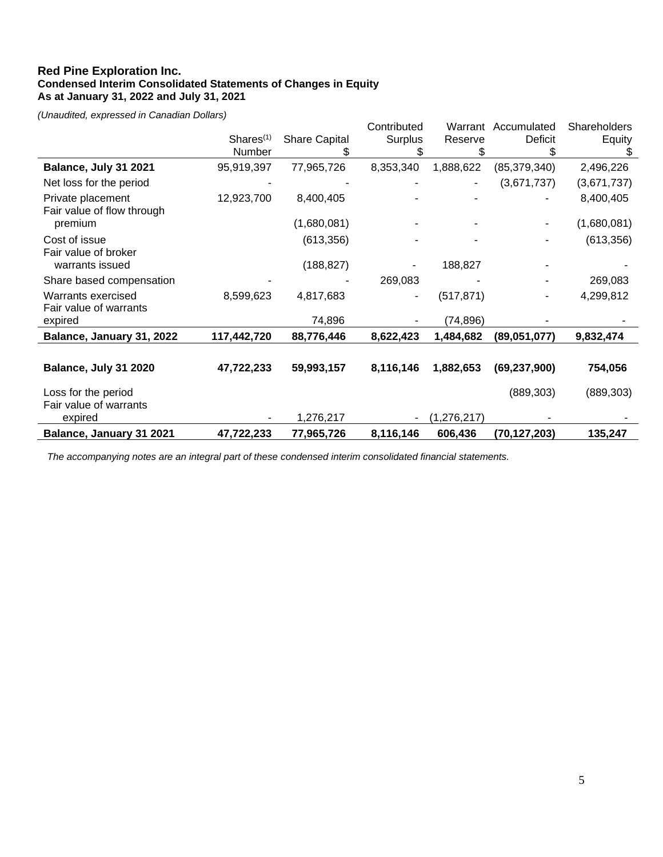#### **Red Pine Exploration Inc. Condensed Interim Consolidated Statements of Changes in Equity As at January 31, 2022 and July 31, 2021**

*(Unaudited, expressed in Canadian Dollars)*

|                                                 |                       |                      | Contributed | Warrant     | Accumulated    | Shareholders |
|-------------------------------------------------|-----------------------|----------------------|-------------|-------------|----------------|--------------|
|                                                 | Shares <sup>(1)</sup> | <b>Share Capital</b> | Surplus     | Reserve     | Deficit        | Equity       |
|                                                 | Number                |                      |             | \$          |                |              |
| Balance, July 31 2021                           | 95,919,397            | 77,965,726           | 8,353,340   | 1,888,622   | (85, 379, 340) | 2,496,226    |
| Net loss for the period                         |                       |                      |             |             | (3,671,737)    | (3,671,737)  |
| Private placement<br>Fair value of flow through | 12,923,700            | 8,400,405            |             |             |                | 8,400,405    |
| premium                                         |                       | (1,680,081)          |             |             |                | (1,680,081)  |
| Cost of issue<br>Fair value of broker           |                       | (613, 356)           |             |             |                | (613, 356)   |
| warrants issued                                 |                       | (188, 827)           |             | 188,827     |                |              |
| Share based compensation                        |                       |                      | 269,083     |             |                | 269,083      |
| Warrants exercised<br>Fair value of warrants    | 8,599,623             | 4,817,683            |             | (517, 871)  |                | 4,299,812    |
| expired                                         |                       | 74,896               |             | (74, 896)   |                |              |
| Balance, January 31, 2022                       | 117,442,720           | 88,776,446           | 8,622,423   | 1,484,682   | (89,051,077)   | 9,832,474    |
|                                                 |                       |                      |             |             |                |              |
| Balance, July 31 2020                           | 47,722,233            | 59,993,157           | 8,116,146   | 1,882,653   | (69, 237, 900) | 754,056      |
| Loss for the period                             |                       |                      |             |             | (889, 303)     | (889, 303)   |
| Fair value of warrants<br>expired               |                       | 1,276,217            |             | (1,276,217) |                |              |
| Balance, January 31 2021                        | 47,722,233            | 77,965,726           | 8,116,146   | 606,436     | (70, 127, 203) | 135,247      |

*The accompanying notes are an integral part of these condensed interim consolidated financial statements.*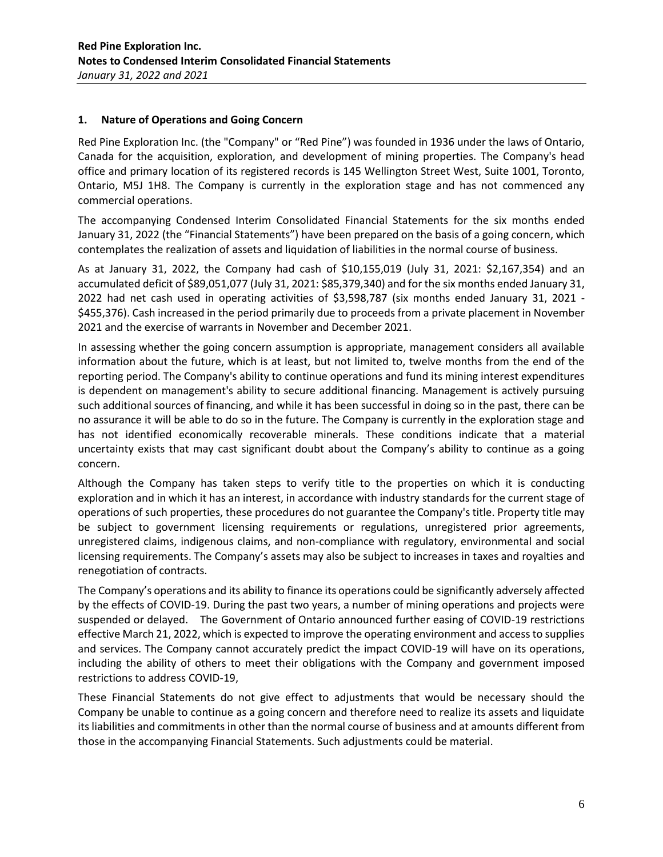#### **1. Nature of Operations and Going Concern**

Red Pine Exploration Inc. (the "Company" or "Red Pine") was founded in 1936 under the laws of Ontario, Canada for the acquisition, exploration, and development of mining properties. The Company's head office and primary location of its registered records is 145 Wellington Street West, Suite 1001, Toronto, Ontario, M5J 1H8. The Company is currently in the exploration stage and has not commenced any commercial operations.

The accompanying Condensed Interim Consolidated Financial Statements for the six months ended January 31, 2022 (the "Financial Statements") have been prepared on the basis of a going concern, which contemplates the realization of assets and liquidation of liabilities in the normal course of business.

As at January 31, 2022, the Company had cash of \$10,155,019 (July 31, 2021: \$2,167,354) and an accumulated deficit of \$89,051,077 (July 31, 2021: \$85,379,340) and for the six months ended January 31, 2022 had net cash used in operating activities of \$3,598,787 (six months ended January 31, 2021 - \$455,376). Cash increased in the period primarily due to proceeds from a private placement in November 2021 and the exercise of warrants in November and December 2021.

In assessing whether the going concern assumption is appropriate, management considers all available information about the future, which is at least, but not limited to, twelve months from the end of the reporting period. The Company's ability to continue operations and fund its mining interest expenditures is dependent on management's ability to secure additional financing. Management is actively pursuing such additional sources of financing, and while it has been successful in doing so in the past, there can be no assurance it will be able to do so in the future. The Company is currently in the exploration stage and has not identified economically recoverable minerals. These conditions indicate that a material uncertainty exists that may cast significant doubt about the Company's ability to continue as a going concern.

Although the Company has taken steps to verify title to the properties on which it is conducting exploration and in which it has an interest, in accordance with industry standards for the current stage of operations of such properties, these procedures do not guarantee the Company's title. Property title may be subject to government licensing requirements or regulations, unregistered prior agreements, unregistered claims, indigenous claims, and non-compliance with regulatory, environmental and social licensing requirements. The Company's assets may also be subject to increases in taxes and royalties and renegotiation of contracts.

The Company's operations and its ability to finance its operations could be significantly adversely affected by the effects of COVID-19. During the past two years, a number of mining operations and projects were suspended or delayed. The Government of Ontario announced further easing of COVID-19 restrictions effective March 21, 2022, which is expected to improve the operating environment and access to supplies and services. The Company cannot accurately predict the impact COVID-19 will have on its operations, including the ability of others to meet their obligations with the Company and government imposed restrictions to address COVID-19,

These Financial Statements do not give effect to adjustments that would be necessary should the Company be unable to continue as a going concern and therefore need to realize its assets and liquidate its liabilities and commitments in other than the normal course of business and at amounts different from those in the accompanying Financial Statements. Such adjustments could be material.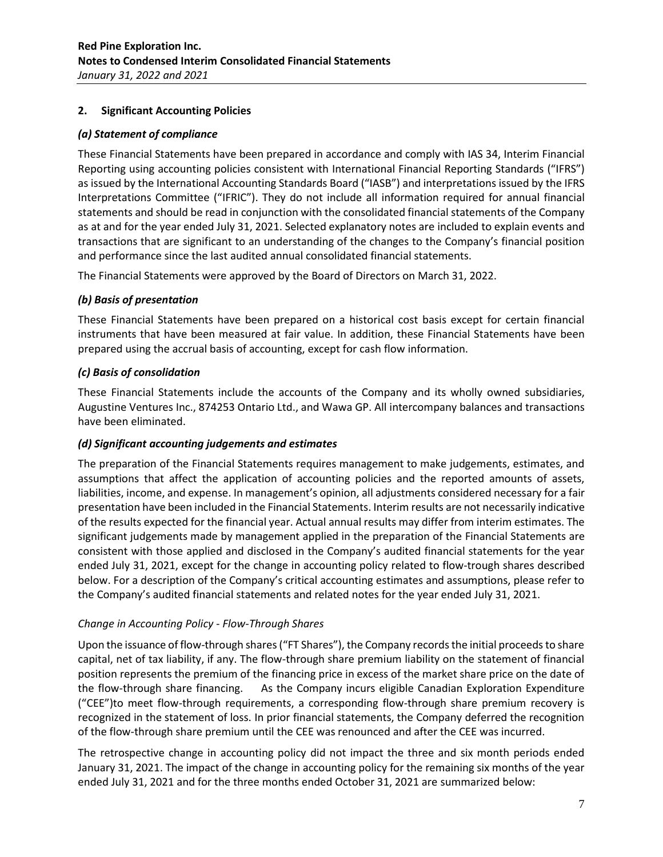# **2. Significant Accounting Policies**

### *(a) Statement of compliance*

These Financial Statements have been prepared in accordance and comply with IAS 34, Interim Financial Reporting using accounting policies consistent with International Financial Reporting Standards ("IFRS") as issued by the International Accounting Standards Board ("IASB") and interpretations issued by the IFRS Interpretations Committee ("IFRIC"). They do not include all information required for annual financial statements and should be read in conjunction with the consolidated financial statements of the Company as at and for the year ended July 31, 2021. Selected explanatory notes are included to explain events and transactions that are significant to an understanding of the changes to the Company's financial position and performance since the last audited annual consolidated financial statements.

The Financial Statements were approved by the Board of Directors on March 31, 2022.

# *(b) Basis of presentation*

These Financial Statements have been prepared on a historical cost basis except for certain financial instruments that have been measured at fair value. In addition, these Financial Statements have been prepared using the accrual basis of accounting, except for cash flow information.

# *(c) Basis of consolidation*

These Financial Statements include the accounts of the Company and its wholly owned subsidiaries, Augustine Ventures Inc., 874253 Ontario Ltd., and Wawa GP. All intercompany balances and transactions have been eliminated.

### *(d) Significant accounting judgements and estimates*

The preparation of the Financial Statements requires management to make judgements, estimates, and assumptions that affect the application of accounting policies and the reported amounts of assets, liabilities, income, and expense. In management's opinion, all adjustments considered necessary for a fair presentation have been included in the Financial Statements. Interim results are not necessarily indicative of the results expected for the financial year. Actual annual results may differ from interim estimates. The significant judgements made by management applied in the preparation of the Financial Statements are consistent with those applied and disclosed in the Company's audited financial statements for the year ended July 31, 2021, except for the change in accounting policy related to flow-trough shares described below. For a description of the Company's critical accounting estimates and assumptions, please refer to the Company's audited financial statements and related notes for the year ended July 31, 2021.

### *Change in Accounting Policy - Flow-Through Shares*

Upon the issuance of flow-through shares ("FT Shares"), the Company records the initial proceeds to share capital, net of tax liability, if any. The flow-through share premium liability on the statement of financial position represents the premium of the financing price in excess of the market share price on the date of the flow-through share financing. As the Company incurs eligible Canadian Exploration Expenditure ("CEE")to meet flow-through requirements, a corresponding flow-through share premium recovery is recognized in the statement of loss. In prior financial statements, the Company deferred the recognition of the flow-through share premium until the CEE was renounced and after the CEE was incurred.

The retrospective change in accounting policy did not impact the three and six month periods ended January 31, 2021. The impact of the change in accounting policy for the remaining six months of the year ended July 31, 2021 and for the three months ended October 31, 2021 are summarized below: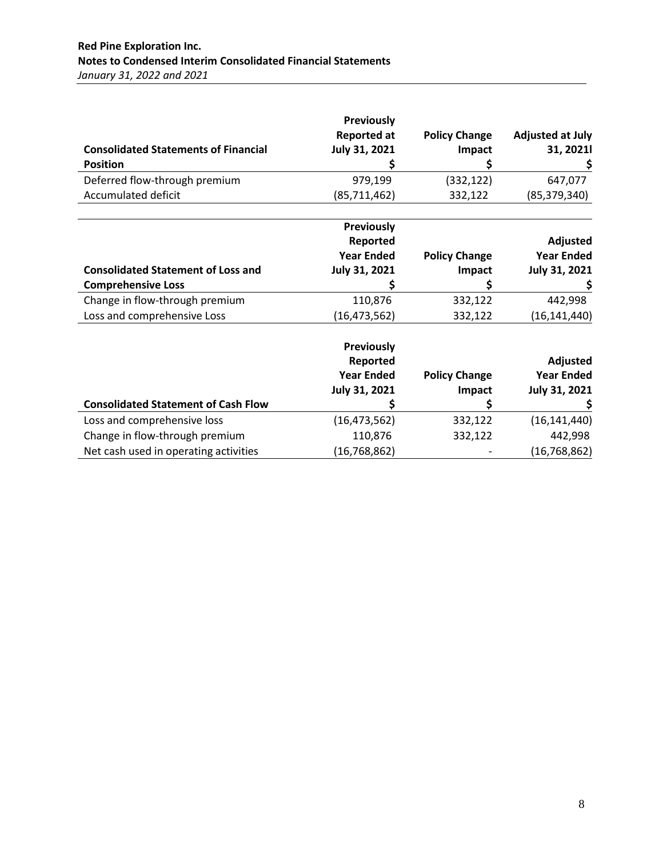| <b>Consolidated Statements of Financial</b>      | <b>Previously</b><br><b>Reported at</b><br><b>July 31, 2021</b> | <b>Policy Change</b><br>Impact | <b>Adjusted at July</b><br>31, 2021 |
|--------------------------------------------------|-----------------------------------------------------------------|--------------------------------|-------------------------------------|
| <b>Position</b><br>Deferred flow-through premium | 979.199                                                         | (332, 122)                     | 647.077                             |
| Accumulated deficit                              | (85, 711, 462)                                                  | 332,122                        | (85, 379, 340)                      |

|                                           | Previously           |                      |                   |
|-------------------------------------------|----------------------|----------------------|-------------------|
|                                           | Reported             |                      | Adjusted          |
|                                           | <b>Year Ended</b>    | <b>Policy Change</b> | <b>Year Ended</b> |
| <b>Consolidated Statement of Loss and</b> | <b>July 31, 2021</b> | Impact               | July 31, 2021     |
| <b>Comprehensive Loss</b>                 |                      |                      |                   |
| Change in flow-through premium            | 110,876              | 332,122              | 442,998           |
| Loss and comprehensive Loss               | (16, 473, 562)       | 332,122              | (16, 141, 440)    |

|                                            | Previously<br>Reported<br><b>Year Ended</b><br><b>July 31, 2021</b> | <b>Policy Change</b><br>Impact | Adjusted<br><b>Year Ended</b><br>July 31, 2021 |
|--------------------------------------------|---------------------------------------------------------------------|--------------------------------|------------------------------------------------|
| <b>Consolidated Statement of Cash Flow</b> |                                                                     |                                |                                                |
| Loss and comprehensive loss                | (16, 473, 562)                                                      | 332,122                        | (16, 141, 440)                                 |
| Change in flow-through premium             | 110,876                                                             | 332,122                        | 442,998                                        |
| Net cash used in operating activities      | (16, 768, 862)                                                      |                                | (16, 768, 862)                                 |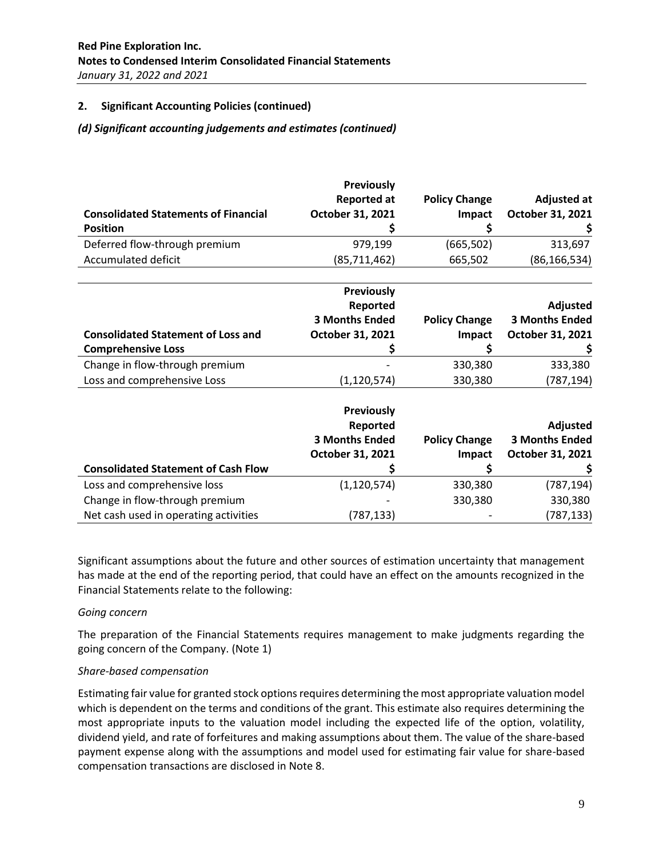### **2. Significant Accounting Policies (continued)**

### *(d) Significant accounting judgements and estimates (continued)*

|                                             | <b>Previously</b><br><b>Reported at</b> |                      |                                        |
|---------------------------------------------|-----------------------------------------|----------------------|----------------------------------------|
| <b>Consolidated Statements of Financial</b> | October 31, 2021                        | <b>Policy Change</b> | <b>Adjusted at</b><br>October 31, 2021 |
|                                             |                                         | Impact               |                                        |
| <b>Position</b>                             |                                         | S                    |                                        |
| Deferred flow-through premium               | 979,199                                 | (665, 502)           | 313,697                                |
| <b>Accumulated deficit</b>                  | (85,711,462)                            | 665,502              | (86, 166, 534)                         |
|                                             | <b>Previously</b>                       |                      |                                        |
|                                             | Reported                                |                      | <b>Adjusted</b>                        |
|                                             | <b>3 Months Ended</b>                   | <b>Policy Change</b> | <b>3 Months Ended</b>                  |
| <b>Consolidated Statement of Loss and</b>   | October 31, 2021                        | <b>Impact</b>        | October 31, 2021                       |
| <b>Comprehensive Loss</b>                   |                                         | Ş                    |                                        |
| Change in flow-through premium              |                                         | 330,380              | 333,380                                |
| Loss and comprehensive Loss                 | (1, 120, 574)                           | 330,380              | (787, 194)                             |
|                                             | <b>Previously</b>                       |                      |                                        |
|                                             | Reported                                |                      | <b>Adjusted</b>                        |
|                                             | <b>3 Months Ended</b>                   | <b>Policy Change</b> | <b>3 Months Ended</b>                  |
|                                             | October 31, 2021                        | Impact               | October 31, 2021                       |
| <b>Consolidated Statement of Cash Flow</b>  |                                         | Ş                    |                                        |
| Loss and comprehensive loss                 | (1, 120, 574)                           | 330,380              | (787, 194)                             |
| Change in flow-through premium              |                                         | 330,380              | 330,380                                |
| Net cash used in operating activities       | (787, 133)                              |                      | (787, 133)                             |

Significant assumptions about the future and other sources of estimation uncertainty that management has made at the end of the reporting period, that could have an effect on the amounts recognized in the Financial Statements relate to the following:

### *Going concern*

The preparation of the Financial Statements requires management to make judgments regarding the going concern of the Company. (Note 1)

### *Share-based compensation*

Estimating fair value for granted stock options requires determining the most appropriate valuation model which is dependent on the terms and conditions of the grant. This estimate also requires determining the most appropriate inputs to the valuation model including the expected life of the option, volatility, dividend yield, and rate of forfeitures and making assumptions about them. The value of the share-based payment expense along with the assumptions and model used for estimating fair value for share-based compensation transactions are disclosed in Note 8.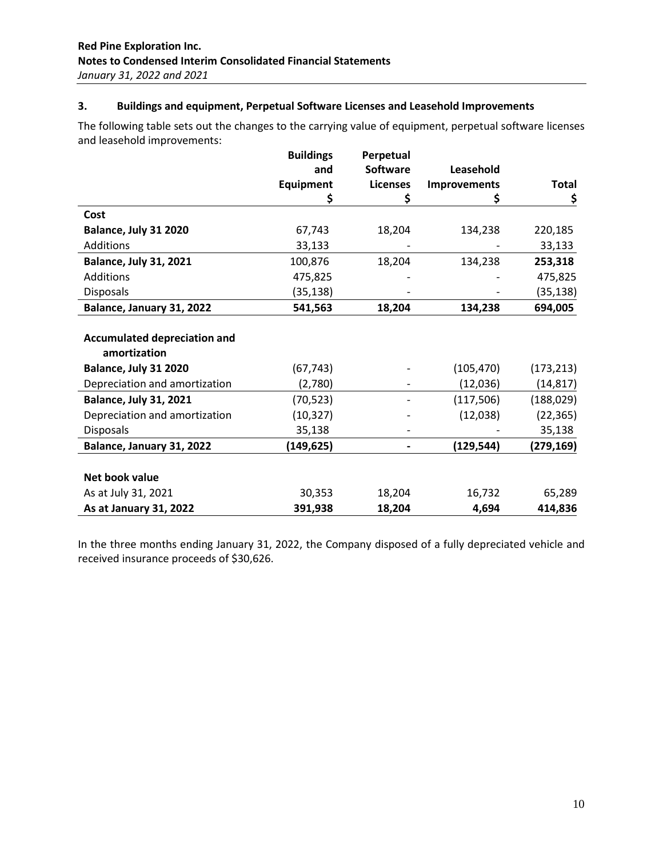# **3. Buildings and equipment, Perpetual Software Licenses and Leasehold Improvements**

The following table sets out the changes to the carrying value of equipment, perpetual software licenses and leasehold improvements:

|                                     | <b>Buildings</b> | Perpetual       |              |            |
|-------------------------------------|------------------|-----------------|--------------|------------|
|                                     | and              | <b>Software</b> | Leasehold    |            |
|                                     | <b>Equipment</b> | <b>Licenses</b> | Improvements | Total      |
|                                     | Ş                | \$              | Ş            | \$         |
| Cost                                |                  |                 |              |            |
| Balance, July 31 2020               | 67,743           | 18,204          | 134,238      | 220,185    |
| <b>Additions</b>                    | 33,133           |                 |              | 33,133     |
| <b>Balance, July 31, 2021</b>       | 100,876          | 18,204          | 134,238      | 253,318    |
| <b>Additions</b>                    | 475,825          |                 |              | 475,825    |
| <b>Disposals</b>                    | (35, 138)        |                 |              | (35, 138)  |
| Balance, January 31, 2022           | 541,563          | 18,204          | 134,238      | 694,005    |
|                                     |                  |                 |              |            |
| <b>Accumulated depreciation and</b> |                  |                 |              |            |
| amortization                        |                  |                 |              |            |
| Balance, July 31 2020               | (67, 743)        |                 | (105, 470)   | (173, 213) |
| Depreciation and amortization       | (2,780)          |                 | (12,036)     | (14, 817)  |
| <b>Balance, July 31, 2021</b>       | (70, 523)        |                 | (117,506)    | (188, 029) |
| Depreciation and amortization       | (10, 327)        |                 | (12,038)     | (22, 365)  |
| <b>Disposals</b>                    | 35,138           |                 |              | 35,138     |
| Balance, January 31, 2022           | (149,625)        |                 | (129, 544)   | (279,169)  |
|                                     |                  |                 |              |            |
| Net book value                      |                  |                 |              |            |
| As at July 31, 2021                 | 30,353           | 18,204          | 16,732       | 65,289     |
| <b>As at January 31, 2022</b>       | 391,938          | 18,204          | 4,694        | 414,836    |

In the three months ending January 31, 2022, the Company disposed of a fully depreciated vehicle and received insurance proceeds of \$30,626.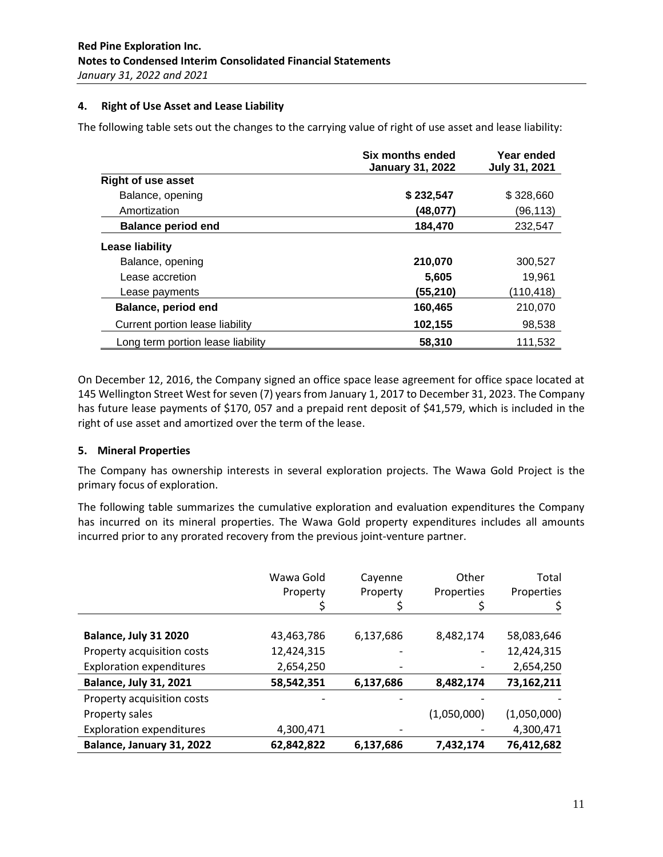# **4. Right of Use Asset and Lease Liability**

The following table sets out the changes to the carrying value of right of use asset and lease liability:

|                                   | Six months ended<br><b>January 31, 2022</b> | Year ended<br><b>July 31, 2021</b> |
|-----------------------------------|---------------------------------------------|------------------------------------|
| <b>Right of use asset</b>         |                                             |                                    |
| Balance, opening                  | \$232,547                                   | \$328,660                          |
| Amortization                      | (48,077)                                    | (96,113)                           |
| <b>Balance period end</b>         | 184.470                                     | 232.547                            |
| Lease liability                   |                                             |                                    |
| Balance, opening                  | 210,070                                     | 300,527                            |
| Lease accretion                   | 5,605                                       | 19.961                             |
| Lease payments                    | (55,210)                                    | (110,418)                          |
| Balance, period end               | 160,465                                     | 210,070                            |
| Current portion lease liability   | 102,155                                     | 98,538                             |
| Long term portion lease liability | 58,310                                      | 111,532                            |

On December 12, 2016, the Company signed an office space lease agreement for office space located at 145 Wellington Street West for seven (7) years from January 1, 2017 to December 31, 2023. The Company has future lease payments of \$170, 057 and a prepaid rent deposit of \$41,579, which is included in the right of use asset and amortized over the term of the lease.

### **5. Mineral Properties**

The Company has ownership interests in several exploration projects. The Wawa Gold Project is the primary focus of exploration.

The following table summarizes the cumulative exploration and evaluation expenditures the Company has incurred on its mineral properties. The Wawa Gold property expenditures includes all amounts incurred prior to any prorated recovery from the previous joint-venture partner.

|                                 | Wawa Gold  | Cayenne   | Other       | Total       |
|---------------------------------|------------|-----------|-------------|-------------|
|                                 | Property   | Property  | Properties  | Properties  |
|                                 |            |           |             |             |
| Balance, July 31 2020           | 43,463,786 | 6,137,686 | 8,482,174   | 58,083,646  |
| Property acquisition costs      | 12,424,315 |           |             | 12,424,315  |
| <b>Exploration expenditures</b> | 2,654,250  |           |             | 2,654,250   |
| <b>Balance, July 31, 2021</b>   | 58,542,351 | 6,137,686 | 8,482,174   | 73,162,211  |
| Property acquisition costs      |            |           |             |             |
| Property sales                  |            |           | (1,050,000) | (1,050,000) |
| <b>Exploration expenditures</b> | 4,300,471  |           |             | 4,300,471   |
| Balance, January 31, 2022       | 62,842,822 | 6,137,686 | 7,432,174   | 76,412,682  |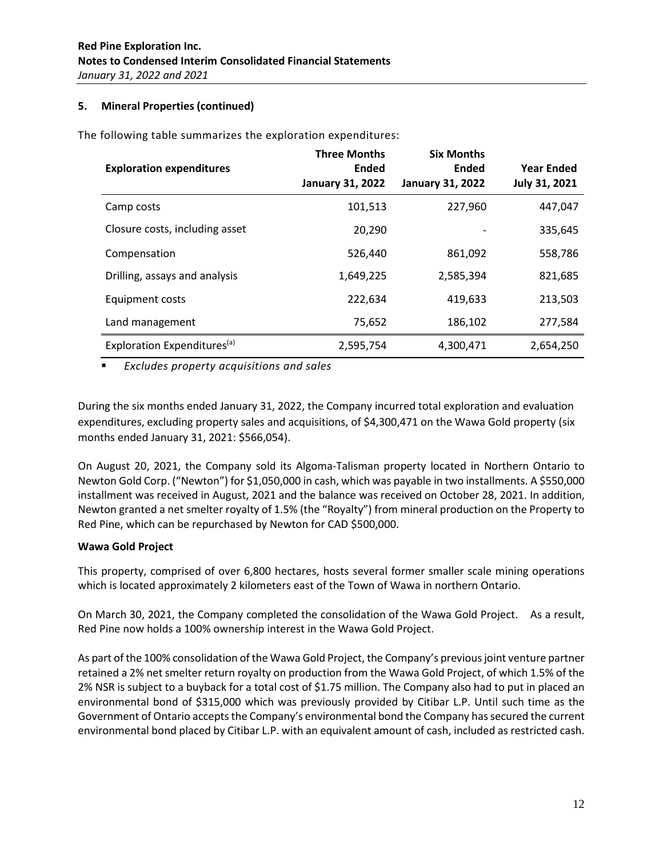## **5. Mineral Properties (continued)**

The following table summarizes the exploration expenditures:

| <b>Exploration expenditures</b>         | <b>Three Months</b><br><b>Ended</b><br><b>January 31, 2022</b> | <b>Six Months</b><br>Ended<br><b>January 31, 2022</b> | <b>Year Ended</b><br>July 31, 2021 |
|-----------------------------------------|----------------------------------------------------------------|-------------------------------------------------------|------------------------------------|
| Camp costs                              | 101,513                                                        | 227,960                                               | 447,047                            |
| Closure costs, including asset          | 20,290                                                         |                                                       | 335,645                            |
| Compensation                            | 526.440                                                        | 861,092                                               | 558,786                            |
| Drilling, assays and analysis           | 1,649,225                                                      | 2,585,394                                             | 821,685                            |
| Equipment costs                         | 222,634                                                        | 419,633                                               | 213,503                            |
| Land management                         | 75,652                                                         | 186,102                                               | 277,584                            |
| Exploration Expenditures <sup>(a)</sup> | 2,595,754                                                      | 4,300,471                                             | 2,654,250                          |

▪ *Excludes property acquisitions and sales*

During the six months ended January 31, 2022, the Company incurred total exploration and evaluation expenditures, excluding property sales and acquisitions, of \$4,300,471 on the Wawa Gold property (six months ended January 31, 2021: \$566,054).

On August 20, 2021, the Company sold its Algoma-Talisman property located in Northern Ontario to Newton Gold Corp. ("Newton") for \$1,050,000 in cash, which was payable in two installments. A \$550,000 installment was received in August, 2021 and the balance was received on October 28, 2021. In addition, Newton granted a net smelter royalty of 1.5% (the "Royalty") from mineral production on the Property to Red Pine, which can be repurchased by Newton for CAD \$500,000.

### **Wawa Gold Project**

This property, comprised of over 6,800 hectares, hosts several former smaller scale mining operations which is located approximately 2 kilometers east of the Town of Wawa in northern Ontario.

On March 30, 2021, the Company completed the consolidation of the Wawa Gold Project. As a result, Red Pine now holds a 100% ownership interest in the Wawa Gold Project.

As part of the 100% consolidation of the Wawa Gold Project, the Company's previous joint venture partner retained a 2% net smelter return royalty on production from the Wawa Gold Project, of which 1.5% of the 2% NSR is subject to a buyback for a total cost of \$1.75 million. The Company also had to put in placed an environmental bond of \$315,000 which was previously provided by Citibar L.P. Until such time as the Government of Ontario accepts the Company's environmental bond the Company has secured the current environmental bond placed by Citibar L.P. with an equivalent amount of cash, included as restricted cash.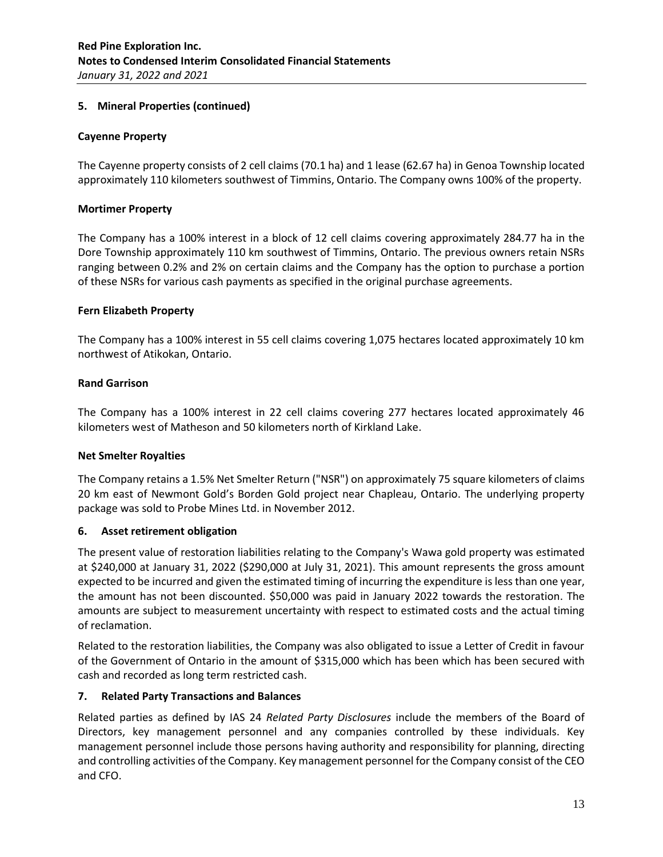## **5. Mineral Properties (continued)**

### **Cayenne Property**

The Cayenne property consists of 2 cell claims (70.1 ha) and 1 lease (62.67 ha) in Genoa Township located approximately 110 kilometers southwest of Timmins, Ontario. The Company owns 100% of the property.

### **Mortimer Property**

The Company has a 100% interest in a block of 12 cell claims covering approximately 284.77 ha in the Dore Township approximately 110 km southwest of Timmins, Ontario. The previous owners retain NSRs ranging between 0.2% and 2% on certain claims and the Company has the option to purchase a portion of these NSRs for various cash payments as specified in the original purchase agreements.

### **Fern Elizabeth Property**

The Company has a 100% interest in 55 cell claims covering 1,075 hectares located approximately 10 km northwest of Atikokan, Ontario.

### **Rand Garrison**

The Company has a 100% interest in 22 cell claims covering 277 hectares located approximately 46 kilometers west of Matheson and 50 kilometers north of Kirkland Lake.

### **Net Smelter Royalties**

The Company retains a 1.5% Net Smelter Return ("NSR") on approximately 75 square kilometers of claims 20 km east of Newmont Gold's Borden Gold project near Chapleau, Ontario. The underlying property package was sold to Probe Mines Ltd. in November 2012.

### **6. Asset retirement obligation**

The present value of restoration liabilities relating to the Company's Wawa gold property was estimated at \$240,000 at January 31, 2022 (\$290,000 at July 31, 2021). This amount represents the gross amount expected to be incurred and given the estimated timing of incurring the expenditure is less than one year, the amount has not been discounted. \$50,000 was paid in January 2022 towards the restoration. The amounts are subject to measurement uncertainty with respect to estimated costs and the actual timing of reclamation.

Related to the restoration liabilities, the Company was also obligated to issue a Letter of Credit in favour of the Government of Ontario in the amount of \$315,000 which has been which has been secured with cash and recorded as long term restricted cash.

### **7. Related Party Transactions and Balances**

Related parties as defined by IAS 24 *Related Party Disclosures* include the members of the Board of Directors, key management personnel and any companies controlled by these individuals. Key management personnel include those persons having authority and responsibility for planning, directing and controlling activities of the Company. Key management personnel for the Company consist of the CEO and CFO.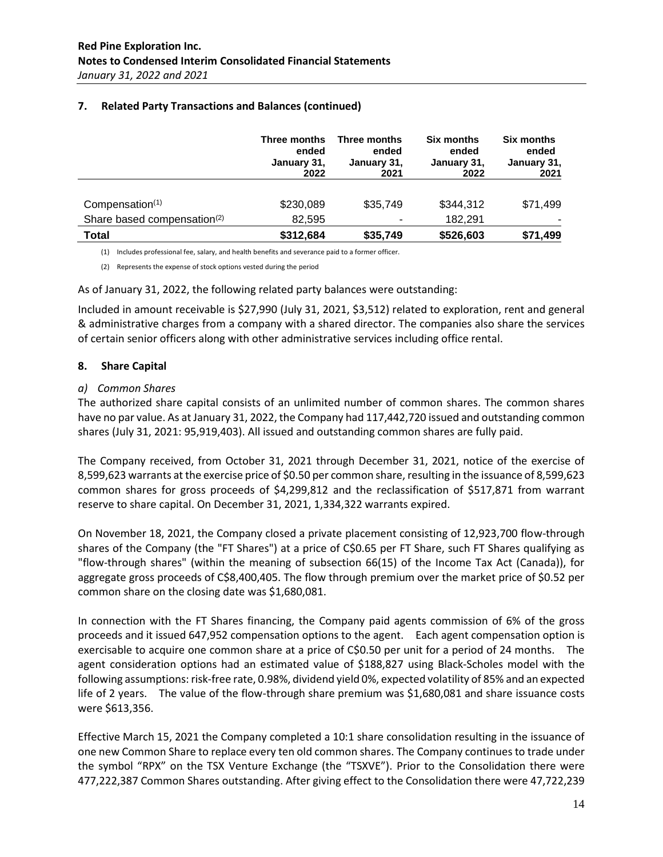|                                         | Three months<br>ended<br>January 31,<br>2022 | Three months<br>ended<br>January 31,<br>2021 | <b>Six months</b><br>ended<br>January 31,<br>2022 | <b>Six months</b><br>ended<br>January 31,<br>2021 |
|-----------------------------------------|----------------------------------------------|----------------------------------------------|---------------------------------------------------|---------------------------------------------------|
| Compensation <sup>(1)</sup>             | \$230,089                                    | \$35,749                                     | \$344,312                                         | \$71,499                                          |
| Share based compensation <sup>(2)</sup> | 82,595                                       | ۰                                            | 182,291                                           |                                                   |
| Total                                   | \$312,684                                    | \$35,749                                     | \$526,603                                         | \$71,499                                          |

# **7. Related Party Transactions and Balances (continued)**

(1) Includes professional fee, salary, and health benefits and severance paid to a former officer.

(2) Represents the expense of stock options vested during the period

As of January 31, 2022, the following related party balances were outstanding:

Included in amount receivable is \$27,990 (July 31, 2021, \$3,512) related to exploration, rent and general & administrative charges from a company with a shared director. The companies also share the services of certain senior officers along with other administrative services including office rental.

#### **8. Share Capital**

#### *a) Common Shares*

The authorized share capital consists of an unlimited number of common shares. The common shares have no par value. As at January 31, 2022, the Company had 117,442,720 issued and outstanding common shares (July 31, 2021: 95,919,403). All issued and outstanding common shares are fully paid.

The Company received, from October 31, 2021 through December 31, 2021, notice of the exercise of 8,599,623 warrants at the exercise price of \$0.50 per common share, resulting in the issuance of 8,599,623 common shares for gross proceeds of \$4,299,812 and the reclassification of \$517,871 from warrant reserve to share capital. On December 31, 2021, 1,334,322 warrants expired.

On November 18, 2021, the Company closed a private placement consisting of 12,923,700 flow-through shares of the Company (the "FT Shares") at a price of C\$0.65 per FT Share, such FT Shares qualifying as "flow-through shares" (within the meaning of subsection 66(15) of the Income Tax Act (Canada)), for aggregate gross proceeds of C\$8,400,405. The flow through premium over the market price of \$0.52 per common share on the closing date was \$1,680,081.

In connection with the FT Shares financing, the Company paid agents commission of 6% of the gross proceeds and it issued 647,952 compensation options to the agent. Each agent compensation option is exercisable to acquire one common share at a price of C\$0.50 per unit for a period of 24 months. The agent consideration options had an estimated value of \$188,827 using Black-Scholes model with the following assumptions: risk-free rate, 0.98%, dividend yield 0%, expected volatility of 85% and an expected life of 2 years. The value of the flow-through share premium was \$1,680,081 and share issuance costs were \$613,356.

Effective March 15, 2021 the Company completed a 10:1 share consolidation resulting in the issuance of one new Common Share to replace every ten old common shares. The Company continues to trade under the symbol "RPX" on the TSX Venture Exchange (the "TSXVE"). Prior to the Consolidation there were 477,222,387 Common Shares outstanding. After giving effect to the Consolidation there were 47,722,239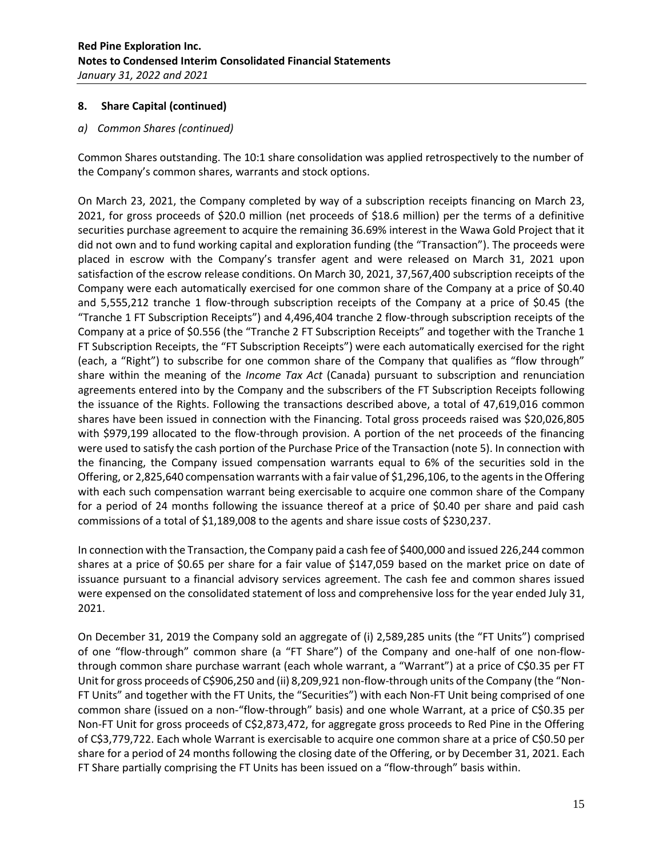### *a) Common Shares (continued)*

Common Shares outstanding. The 10:1 share consolidation was applied retrospectively to the number of the Company's common shares, warrants and stock options.

On March 23, 2021, the Company completed by way of a subscription receipts financing on March 23, 2021, for gross proceeds of \$20.0 million (net proceeds of \$18.6 million) per the terms of a definitive securities purchase agreement to acquire the remaining 36.69% interest in the Wawa Gold Project that it did not own and to fund working capital and exploration funding (the "Transaction"). The proceeds were placed in escrow with the Company's transfer agent and were released on March 31, 2021 upon satisfaction of the escrow release conditions. On March 30, 2021, 37,567,400 subscription receipts of the Company were each automatically exercised for one common share of the Company at a price of \$0.40 and 5,555,212 tranche 1 flow-through subscription receipts of the Company at a price of \$0.45 (the "Tranche 1 FT Subscription Receipts") and 4,496,404 tranche 2 flow-through subscription receipts of the Company at a price of \$0.556 (the "Tranche 2 FT Subscription Receipts" and together with the Tranche 1 FT Subscription Receipts, the "FT Subscription Receipts") were each automatically exercised for the right (each, a "Right") to subscribe for one common share of the Company that qualifies as "flow through" share within the meaning of the *Income Tax Act* (Canada) pursuant to subscription and renunciation agreements entered into by the Company and the subscribers of the FT Subscription Receipts following the issuance of the Rights. Following the transactions described above, a total of 47,619,016 common shares have been issued in connection with the Financing. Total gross proceeds raised was \$20,026,805 with \$979,199 allocated to the flow-through provision. A portion of the net proceeds of the financing were used to satisfy the cash portion of the Purchase Price of the Transaction (note 5). In connection with the financing, the Company issued compensation warrants equal to 6% of the securities sold in the Offering, or 2,825,640 compensation warrants with a fair value of \$1,296,106, to the agents in the Offering with each such compensation warrant being exercisable to acquire one common share of the Company for a period of 24 months following the issuance thereof at a price of \$0.40 per share and paid cash commissions of a total of \$1,189,008 to the agents and share issue costs of \$230,237.

In connection with the Transaction, the Company paid a cash fee of \$400,000 and issued 226,244 common shares at a price of \$0.65 per share for a fair value of \$147,059 based on the market price on date of issuance pursuant to a financial advisory services agreement. The cash fee and common shares issued were expensed on the consolidated statement of loss and comprehensive loss for the year ended July 31, 2021.

On December 31, 2019 the Company sold an aggregate of (i) 2,589,285 units (the "FT Units") comprised of one "flow-through" common share (a "FT Share") of the Company and one-half of one non-flowthrough common share purchase warrant (each whole warrant, a "Warrant") at a price of C\$0.35 per FT Unit for gross proceeds of C\$906,250 and (ii) 8,209,921 non-flow-through units of the Company (the "Non-FT Units" and together with the FT Units, the "Securities") with each Non-FT Unit being comprised of one common share (issued on a non-"flow-through" basis) and one whole Warrant, at a price of C\$0.35 per Non-FT Unit for gross proceeds of C\$2,873,472, for aggregate gross proceeds to Red Pine in the Offering of C\$3,779,722. Each whole Warrant is exercisable to acquire one common share at a price of C\$0.50 per share for a period of 24 months following the closing date of the Offering, or by December 31, 2021. Each FT Share partially comprising the FT Units has been issued on a "flow-through" basis within.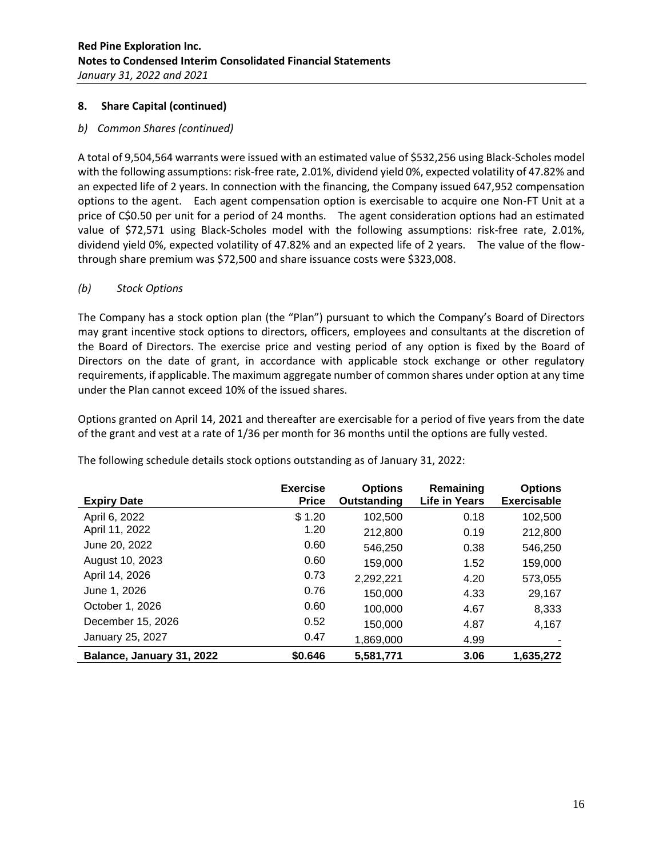# *b) Common Shares (continued)*

A total of 9,504,564 warrants were issued with an estimated value of \$532,256 using Black-Scholes model with the following assumptions: risk-free rate, 2.01%, dividend yield 0%, expected volatility of 47.82% and an expected life of 2 years. In connection with the financing, the Company issued 647,952 compensation options to the agent. Each agent compensation option is exercisable to acquire one Non-FT Unit at a price of C\$0.50 per unit for a period of 24 months. The agent consideration options had an estimated value of \$72,571 using Black-Scholes model with the following assumptions: risk-free rate, 2.01%, dividend yield 0%, expected volatility of 47.82% and an expected life of 2 years. The value of the flowthrough share premium was \$72,500 and share issuance costs were \$323,008.

# *(b) Stock Options*

The Company has a stock option plan (the "Plan") pursuant to which the Company's Board of Directors may grant incentive stock options to directors, officers, employees and consultants at the discretion of the Board of Directors. The exercise price and vesting period of any option is fixed by the Board of Directors on the date of grant, in accordance with applicable stock exchange or other regulatory requirements, if applicable. The maximum aggregate number of common shares under option at any time under the Plan cannot exceed 10% of the issued shares.

Options granted on April 14, 2021 and thereafter are exercisable for a period of five years from the date of the grant and vest at a rate of 1/36 per month for 36 months until the options are fully vested.

| <b>Expiry Date</b>        | <b>Exercise</b><br><b>Price</b> | <b>Options</b><br>Outstanding | Remaining<br>Life in Years | <b>Options</b><br><b>Exercisable</b> |
|---------------------------|---------------------------------|-------------------------------|----------------------------|--------------------------------------|
| April 6, 2022             | \$1.20                          | 102.500                       | 0.18                       | 102,500                              |
| April 11, 2022            | 1.20                            | 212,800                       | 0.19                       | 212,800                              |
| June 20, 2022             | 0.60                            | 546,250                       | 0.38                       | 546,250                              |
| August 10, 2023           | 0.60                            | 159,000                       | 1.52                       | 159,000                              |
| April 14, 2026            | 0.73                            | 2,292,221                     | 4.20                       | 573,055                              |
| June 1, 2026              | 0.76                            | 150,000                       | 4.33                       | 29,167                               |
| October 1, 2026           | 0.60                            | 100,000                       | 4.67                       | 8,333                                |
| December 15, 2026         | 0.52                            | 150,000                       | 4.87                       | 4,167                                |
| January 25, 2027          | 0.47                            | 1,869,000                     | 4.99                       |                                      |
| Balance, January 31, 2022 | \$0.646                         | 5,581,771                     | 3.06                       | 1,635,272                            |

The following schedule details stock options outstanding as of January 31, 2022: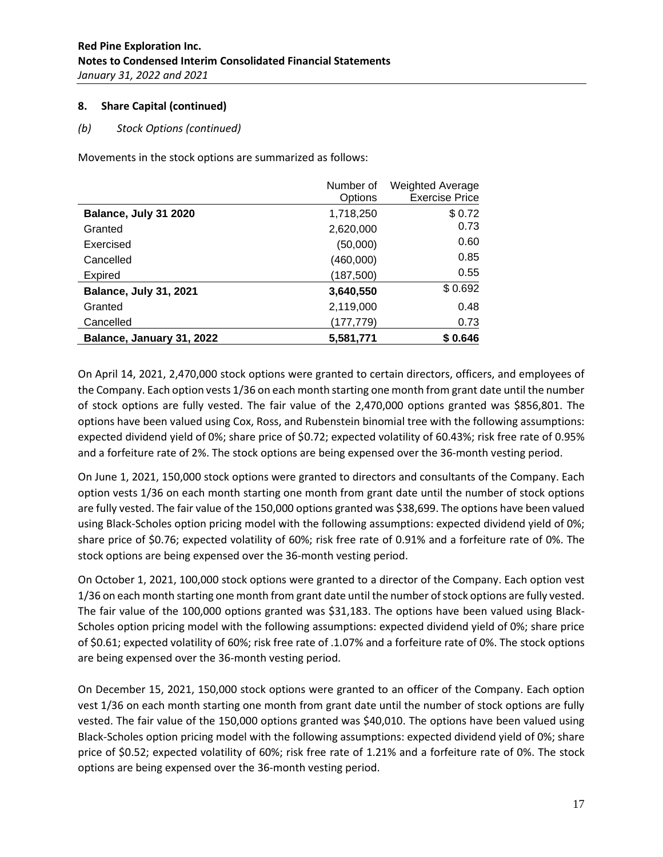# *(b) Stock Options (continued)*

Movements in the stock options are summarized as follows:

|                               | Number of  | <b>Weighted Average</b> |
|-------------------------------|------------|-------------------------|
|                               | Options    | <b>Exercise Price</b>   |
| Balance, July 31 2020         | 1,718,250  | \$0.72                  |
| Granted                       | 2,620,000  | 0.73                    |
| Exercised                     | (50,000)   | 0.60                    |
| Cancelled                     | (460,000)  | 0.85                    |
| <b>Expired</b>                | (187, 500) | 0.55                    |
| <b>Balance, July 31, 2021</b> | 3,640,550  | \$0.692                 |
| Granted                       | 2,119,000  | 0.48                    |
| Cancelled                     | (177, 779) | 0.73                    |
| Balance, January 31, 2022     | 5,581,771  | \$0.646                 |

On April 14, 2021, 2,470,000 stock options were granted to certain directors, officers, and employees of the Company. Each option vests 1/36 on each month starting one month from grant date until the number of stock options are fully vested. The fair value of the 2,470,000 options granted was \$856,801. The options have been valued using Cox, Ross, and Rubenstein binomial tree with the following assumptions: expected dividend yield of 0%; share price of \$0.72; expected volatility of 60.43%; risk free rate of 0.95% and a forfeiture rate of 2%. The stock options are being expensed over the 36-month vesting period.

On June 1, 2021, 150,000 stock options were granted to directors and consultants of the Company. Each option vests 1/36 on each month starting one month from grant date until the number of stock options are fully vested. The fair value of the 150,000 options granted was \$38,699. The options have been valued using Black-Scholes option pricing model with the following assumptions: expected dividend yield of 0%; share price of \$0.76; expected volatility of 60%; risk free rate of 0.91% and a forfeiture rate of 0%. The stock options are being expensed over the 36-month vesting period.

On October 1, 2021, 100,000 stock options were granted to a director of the Company. Each option vest 1/36 on each month starting one month from grant date until the number of stock options are fully vested. The fair value of the 100,000 options granted was \$31,183. The options have been valued using Black-Scholes option pricing model with the following assumptions: expected dividend yield of 0%; share price of \$0.61; expected volatility of 60%; risk free rate of .1.07% and a forfeiture rate of 0%. The stock options are being expensed over the 36-month vesting period.

On December 15, 2021, 150,000 stock options were granted to an officer of the Company. Each option vest 1/36 on each month starting one month from grant date until the number of stock options are fully vested. The fair value of the 150,000 options granted was \$40,010. The options have been valued using Black-Scholes option pricing model with the following assumptions: expected dividend yield of 0%; share price of \$0.52; expected volatility of 60%; risk free rate of 1.21% and a forfeiture rate of 0%. The stock options are being expensed over the 36-month vesting period.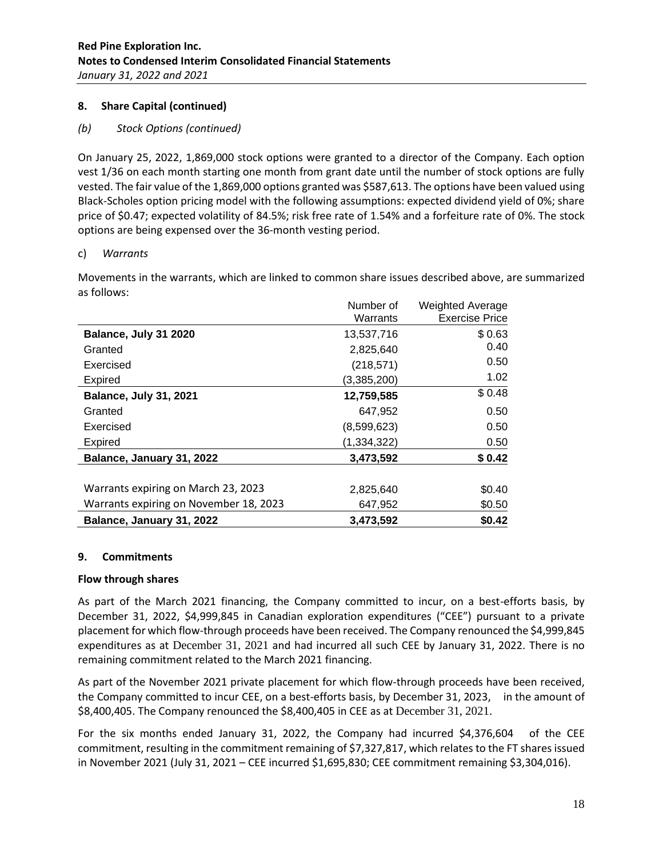# *(b) Stock Options (continued)*

On January 25, 2022, 1,869,000 stock options were granted to a director of the Company. Each option vest 1/36 on each month starting one month from grant date until the number of stock options are fully vested. The fair value of the 1,869,000 options granted was \$587,613. The options have been valued using Black-Scholes option pricing model with the following assumptions: expected dividend yield of 0%; share price of \$0.47; expected volatility of 84.5%; risk free rate of 1.54% and a forfeiture rate of 0%. The stock options are being expensed over the 36-month vesting period.

### c) *Warrants*

Movements in the warrants, which are linked to common share issues described above, are summarized as follows:

|                                        | Number of   | <b>Weighted Average</b> |
|----------------------------------------|-------------|-------------------------|
|                                        | Warrants    | <b>Exercise Price</b>   |
| Balance, July 31 2020                  | 13,537,716  | \$0.63                  |
| Granted                                | 2,825,640   | 0.40                    |
| Exercised                              | (218, 571)  | 0.50                    |
| <b>Expired</b>                         | (3,385,200) | 1.02 <sub>1</sub>       |
| <b>Balance, July 31, 2021</b>          | 12,759,585  | \$0.48                  |
| Granted                                | 647,952     | 0.50                    |
| Exercised                              | (8,599,623) | 0.50                    |
| <b>Expired</b>                         | (1,334,322) | 0.50                    |
| Balance, January 31, 2022              | 3,473,592   | \$0.42                  |
|                                        |             |                         |
| Warrants expiring on March 23, 2023    | 2,825,640   | \$0.40                  |
| Warrants expiring on November 18, 2023 | 647,952     | \$0.50                  |
| Balance, January 31, 2022              | 3,473,592   | \$0.42                  |

### **9. Commitments**

### **Flow through shares**

As part of the March 2021 financing, the Company committed to incur, on a best-efforts basis, by December 31, 2022, \$4,999,845 in Canadian exploration expenditures ("CEE") pursuant to a private placement for which flow-through proceeds have been received. The Company renounced the \$4,999,845 expenditures as at December 31, 2021 and had incurred all such CEE by January 31, 2022. There is no remaining commitment related to the March 2021 financing.

As part of the November 2021 private placement for which flow-through proceeds have been received, the Company committed to incur CEE, on a best-efforts basis, by December 31, 2023, in the amount of \$8,400,405. The Company renounced the \$8,400,405 in CEE as at December 31, 2021.

For the six months ended January 31, 2022, the Company had incurred \$4,376,604 of the CEE commitment, resulting in the commitment remaining of \$7,327,817, which relates to the FT shares issued in November 2021 (July 31, 2021 – CEE incurred \$1,695,830; CEE commitment remaining \$3,304,016).